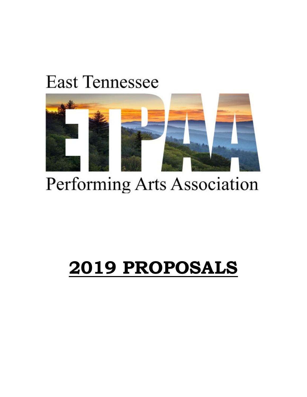### **East Tennessee**



## Performing Arts Association

# **2019 PROPOSALS**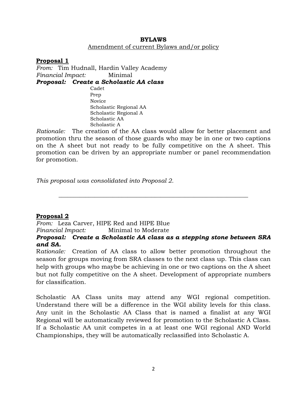#### **BYLAWS** Amendment of current Bylaws and/or policy

**Proposal 1** *From:* Tim Hudnall, Hardin Valley Academy *Financial Impact:* Minimal *Proposal: Create a Scholastic AA class* Cadet Prep Novice Scholastic Regional AA Scholastic Regional A Scholastic AA Scholastic A

*Rationale:* The creation of the AA class would allow for better placement and promotion thru the season of those guards who may be in one or two captions on the A sheet but not ready to be fully competitive on the A sheet. This promotion can be driven by an appropriate number or panel recommendation for promotion.

*This proposal was consolidated into Proposal 2.* 

#### **Proposal 2**

*From:* Leza Carver, HIPE Red and HIPE Blue *Financial Impact:* Minimal to Moderate

*Proposal: Create a Scholastic AA class as a stepping stone between SRA and SA.* 

**\_\_\_\_\_\_\_\_\_\_\_\_\_\_\_\_\_\_\_\_\_\_\_\_\_\_\_\_\_\_\_\_\_\_\_\_\_\_\_\_\_\_\_\_\_\_\_\_\_\_\_\_\_\_\_\_\_\_\_\_\_\_\_**

R*ationale:* Creation of AA class to allow better promotion throughout the season for groups moving from SRA classes to the next class up. This class can help with groups who maybe be achieving in one or two captions on the A sheet but not fully competitive on the A sheet. Development of appropriate numbers for classification.

Scholastic AA Class units may attend any WGI regional competition. Understand there will be a difference in the WGI ability levels for this class. Any unit in the Scholastic AA Class that is named a finalist at any WGI Regional will be automatically reviewed for promotion to the Scholastic A Class. If a Scholastic AA unit competes in a at least one WGI regional AND World Championships, they will be automatically reclassified into Scholastic A.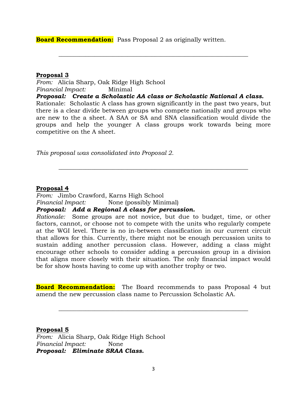**Board Recommendation:** Pass Proposal 2 as originally written.

#### **Proposal 3**

*From:* Alicia Sharp, Oak Ridge High School *Financial Impact:* Minimal

*Proposal: Create a Scholastic AA class or Scholastic National A class.* Rationale: Scholastic A class has grown significantly in the past two years, but there is a clear divide between groups who compete nationally and groups who are new to the a sheet. A SAA or SA and SNA classification would divide the groups and help the younger A class groups work towards being more competitive on the A sheet.

**\_\_\_\_\_\_\_\_\_\_\_\_\_\_\_\_\_\_\_\_\_\_\_\_\_\_\_\_\_\_\_\_\_\_\_\_\_\_\_\_\_\_\_\_\_\_\_\_\_\_\_\_\_\_\_\_\_\_\_\_\_\_\_**

**\_\_\_\_\_\_\_\_\_\_\_\_\_\_\_\_\_\_\_\_\_\_\_\_\_\_\_\_\_\_\_\_\_\_\_\_\_\_\_\_\_\_\_\_\_\_\_\_\_\_\_\_\_\_\_\_\_\_\_\_\_\_\_**

*This proposal was consolidated into Proposal 2.* 

#### **Proposal 4**

*From:* Jimbo Crawford, Karns High School *Financial Impact:* None (possibly Minimal)

#### *Proposal: Add a Regional A class for percussion.*

*Rationale:* Some groups are not novice, but due to budget, time, or other factors, cannot, or choose not to compete with the units who regularly compete at the WGI level. There is no in-between classification in our current circuit that allows for this. Currently, there might not be enough percussion units to sustain adding another percussion class. However, adding a class might encourage other schools to consider adding a percussion group in a division that aligns more closely with their situation. The only financial impact would be for show hosts having to come up with another trophy or two.

**Board Recommendation:** The Board recommends to pass Proposal 4 but amend the new percussion class name to Percussion Scholastic AA.

**\_\_\_\_\_\_\_\_\_\_\_\_\_\_\_\_\_\_\_\_\_\_\_\_\_\_\_\_\_\_\_\_\_\_\_\_\_\_\_\_\_\_\_\_\_\_\_\_\_\_\_\_\_\_\_\_\_\_\_\_\_\_\_**

#### **Proposal 5**

*From:* Alicia Sharp, Oak Ridge High School *Financial Impact:* None *Proposal: Eliminate SRAA Class.*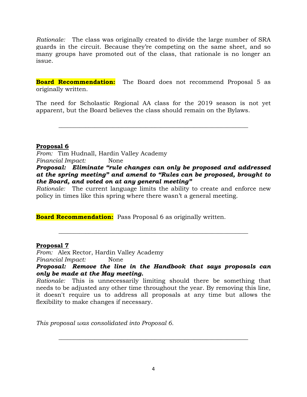*Rationale:* The class was originally created to divide the large number of SRA guards in the circuit. Because they're competing on the same sheet, and so many groups have promoted out of the class, that rationale is no longer an issue.

**Board Recommendation:** The Board does not recommend Proposal 5 as originally written.

The need for Scholastic Regional AA class for the 2019 season is not yet apparent, but the Board believes the class should remain on the Bylaws.

**\_\_\_\_\_\_\_\_\_\_\_\_\_\_\_\_\_\_\_\_\_\_\_\_\_\_\_\_\_\_\_\_\_\_\_\_\_\_\_\_\_\_\_\_\_\_\_\_\_\_\_\_\_\_\_\_\_\_\_\_\_\_\_**

#### **Proposal 6**

*From:* Tim Hudnall, Hardin Valley Academy *Financial Impact:* None *Proposal: Eliminate "rule changes can only be proposed and addressed at the spring meeting" and amend to "Rules can be proposed, brought to the Board, and voted on at any general meeting"*

*Rationale:* The current language limits the ability to create and enforce new policy in times like this spring where there wasn't a general meeting.

**Board Recommendation:** Pass Proposal 6 as originally written.

#### **Proposal 7**

*From:* Alex Rector, Hardin Valley Academy *Financial Impact:* None

*Proposal: Remove the line in the Handbook that says proposals can only be made at the May meeting.*

**\_\_\_\_\_\_\_\_\_\_\_\_\_\_\_\_\_\_\_\_\_\_\_\_\_\_\_\_\_\_\_\_\_\_\_\_\_\_\_\_\_\_\_\_\_\_\_\_\_\_\_\_\_\_\_\_\_\_\_\_\_\_\_**

*Rationale:* This is unnecessarily limiting should there be something that needs to be adjusted any other time throughout the year. By removing this line, it doesn't require us to address all proposals at any time but allows the flexibility to make changes if necessary.

*This proposal was consolidated into Proposal 6.*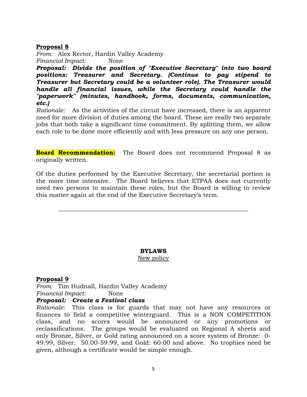*From:* Alex Rector, Hardin Valley Academy *Financial Impact:* None

*Proposal: Divide the position of "Executive Secretary" into two board positions: Treasurer and Secretary. (Continue to pay stipend to Treasurer but Secretary could be a volunteer role). The Treasurer would handle all financial issues, while the Secretary could handle the "paperwork" (minutes, handbook, forms, documents, communication, etc.)*

*Rationale:* As the activities of the circuit have increased, there is an apparent need for more division of duties among the board. These are really two separate jobs that both take a significant time commitment. By splitting them, we allow each role to be done more efficiently and with less pressure on any one person.

**Board Recommendation:** The Board does not recommend Proposal 8 as originally written.

Of the duties performed by the Executive Secretary, the secretarial portion is the more time intensive. The Board believes that ETPAA does not currently need two persons to maintain these roles, but the Board is willing to review this matter again at the end of the Executive Secretary's term.

**\_\_\_\_\_\_\_\_\_\_\_\_\_\_\_\_\_\_\_\_\_\_\_\_\_\_\_\_\_\_\_\_\_\_\_\_\_\_\_\_\_\_\_\_\_\_\_\_\_\_\_\_\_\_\_\_\_\_\_\_\_\_\_**

#### **BYLAWS**

New policy

#### **Proposal 9**

*From:* Tim Hudnall, Hardin Valley Academy *Financial Impact:* None

#### *Proposal: Create a Festival class*

*Rationale:* This class is for guards that may not have any resources or finances to field a competitive winterguard. This is a NON COMPETITION class, and no scores would be announced or any promotions or reclassifications. The groups would be evaluated on Regional A sheets and only Bronze, Silver, or Gold rating announced on a score system of Bronze: 0- 49.99, Silver: 50.00-59.99, and Gold: 60.00 and above. No trophies need be given, although a certificate would be simple enough.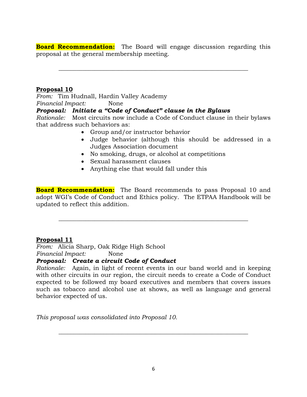**Board Recommendation:** The Board will engage discussion regarding this proposal at the general membership meeting.

**\_\_\_\_\_\_\_\_\_\_\_\_\_\_\_\_\_\_\_\_\_\_\_\_\_\_\_\_\_\_\_\_\_\_\_\_\_\_\_\_\_\_\_\_\_\_\_\_\_\_\_\_\_\_\_\_\_\_\_\_\_\_\_**

#### **Proposal 10**

*From:* Tim Hudnall, Hardin Valley Academy *Financial Impact:* None

#### *Proposal: Initiate a "Code of Conduct" clause in the Bylaws*

*Rationale:* Most circuits now include a Code of Conduct clause in their bylaws that address such behaviors as:

- Group and/or instructor behavior
- Judge behavior (although this should be addressed in a Judges Association document
- No smoking, drugs, or alcohol at competitions
- Sexual harassment clauses
- Anything else that would fall under this

**Board Recommendation:** The Board recommends to pass Proposal 10 and adopt WGI's Code of Conduct and Ethics policy. The ETPAA Handbook will be updated to reflect this addition.

**\_\_\_\_\_\_\_\_\_\_\_\_\_\_\_\_\_\_\_\_\_\_\_\_\_\_\_\_\_\_\_\_\_\_\_\_\_\_\_\_\_\_\_\_\_\_\_\_\_\_\_\_\_\_\_\_\_\_\_\_\_\_\_**

#### **Proposal 11**

*From:* Alicia Sharp, Oak Ridge High School *Financial Impact:* None

#### *Proposal: Create a circuit Code of Conduct*

*Rationale:* Again, in light of recent events in our band world and in keeping with other circuits in our region, the circuit needs to create a Code of Conduct expected to be followed my board executives and members that covers issues such as tobacco and alcohol use at shows, as well as language and general behavior expected of us.

*This proposal was consolidated into Proposal 10.*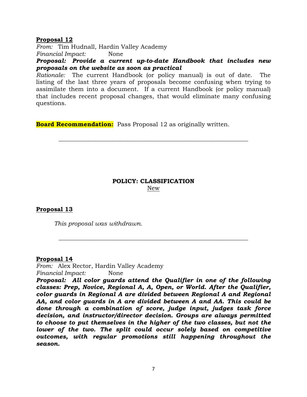*From:* Tim Hudnall, Hardin Valley Academy *Financial Impact:* None

*Proposal: Provide a current up-to-date Handbook that includes new proposals on the website as soon as practical*

*Rationale:* The current Handbook (or policy manual) is out of date. The listing of the last three years of proposals become confusing when trying to assimilate them into a document. If a current Handbook (or policy manual) that includes recent proposal changes, that would eliminate many confusing questions.

**Board Recommendation:** Pass Proposal 12 as originally written.

#### **POLICY: CLASSIFICATION** New

**\_\_\_\_\_\_\_\_\_\_\_\_\_\_\_\_\_\_\_\_\_\_\_\_\_\_\_\_\_\_\_\_\_\_\_\_\_\_\_\_\_\_\_\_\_\_\_\_\_\_\_\_\_\_\_\_\_\_\_\_\_\_\_**

**\_\_\_\_\_\_\_\_\_\_\_\_\_\_\_\_\_\_\_\_\_\_\_\_\_\_\_\_\_\_\_\_\_\_\_\_\_\_\_\_\_\_\_\_\_\_\_\_\_\_\_\_\_\_\_\_\_\_\_\_\_\_\_**

#### **Proposal 13**

*This proposal was withdrawn.*

#### **Proposal 14**

*From:* Alex Rector, Hardin Valley Academy *Financial Impact:* None

*Proposal: All color guards attend the Qualifier in one of the following classes: Prep, Novice, Regional A, A, Open, or World. After the Qualifier, color guards in Regional A are divided between Regional A and Regional AA, and color guards in A are divided between A and AA. This could be done through a combination of score, judge input, judges task force decision, and instructor/director decision. Groups are always permitted to choose to put themselves in the higher of the two classes, but not the*  lower of the two. The split could occur solely based on competitive *outcomes, with regular promotions still happening throughout the season.*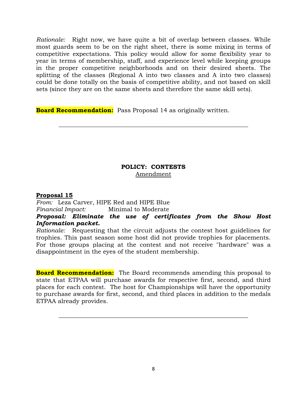*Rationale:* Right now, we have quite a bit of overlap between classes. While most guards seem to be on the right sheet, there is some mixing in terms of competitive expectations. This policy would allow for some flexibility year to year in terms of membership, staff, and experience level while keeping groups in the proper competitive neighborhoods and on their desired sheets. The splitting of the classes (Regional A into two classes and A into two classes) could be done totally on the basis of competitive ability, and not based on skill sets (since they are on the same sheets and therefore the same skill sets).

**Board Recommendation:** Pass Proposal 14 as originally written.

#### **POLICY: CONTESTS** Amendment

**\_\_\_\_\_\_\_\_\_\_\_\_\_\_\_\_\_\_\_\_\_\_\_\_\_\_\_\_\_\_\_\_\_\_\_\_\_\_\_\_\_\_\_\_\_\_\_\_\_\_\_\_\_\_\_\_\_\_\_\_\_\_\_**

#### **Proposal 15**

*From:* Leza Carver, HIPE Red and HIPE Blue

*Financial Impact:* Minimal to Moderate

#### *Proposal: Eliminate the use of certificates from the Show Host Information packet.*

*Rationale:* Requesting that the circuit adjusts the contest host guidelines for trophies. This past season some host did not provide trophies for placements. For those groups placing at the contest and not receive "hardware" was a disappointment in the eyes of the student membership.

**Board Recommendation:** The Board recommends amending this proposal to state that ETPAA will purchase awards for respective first, second, and third places for each contest. The host for Championships will have the opportunity to purchase awards for first, second, and third places in addition to the medals ETPAA already provides.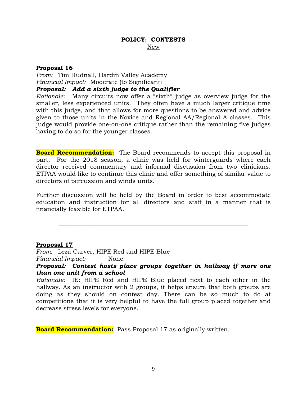*From:* Tim Hudnall, Hardin Valley Academy *Financial Impact:* Moderate (to Significant) *Proposal: Add a sixth judge to the Qualifier*

*Rationale:* Many circuits now offer a "sixth" judge as overview judge for the smaller, less experienced units. They often have a much larger critique time with this judge, and that allows for more questions to be answered and advice given to those units in the Novice and Regional AA/Regional A classes. This judge would provide one-on-one critique rather than the remaining five judges having to do so for the younger classes.

**Board Recommendation:** The Board recommends to accept this proposal in part. For the 2018 season, a clinic was held for winterguards where each director received commentary and informal discussion from two clinicians. ETPAA would like to continue this clinic and offer something of similar value to directors of percussion and winds units.

Further discussion will be held by the Board in order to best accommodate education and instruction for all directors and staff in a manner that is financially feasible for ETPAA.

**\_\_\_\_\_\_\_\_\_\_\_\_\_\_\_\_\_\_\_\_\_\_\_\_\_\_\_\_\_\_\_\_\_\_\_\_\_\_\_\_\_\_\_\_\_\_\_\_\_\_\_\_\_\_\_\_\_\_\_\_\_\_\_**

#### **Proposal 17**

*From:* Leza Carver, HIPE Red and HIPE Blue *Financial Impact:* None

*Proposal: Contest hosts place groups together in hallway if more one than one unit from a school*

*Rationale:* IE: HIPE Red and HIPE Blue placed next to each other in the hallway. As an instructor with 2 groups, it helps ensure that both groups are doing as they should on contest day. There can be so much to do at competitions that it is very helpful to have the full group placed together and decrease stress levels for everyone.

**Board Recommendation:** Pass Proposal 17 as originally written.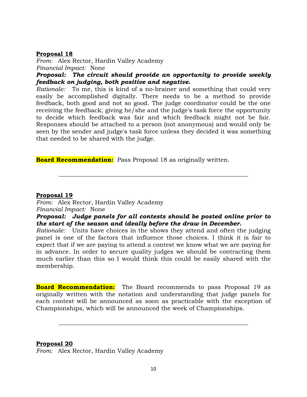*From:* Alex Rector, Hardin Valley Academy *Financial Impact:* None

*Proposal: The circuit should provide an opportunity to provide weekly feedback on judging, both positive and negative.*

*Rationale:* To me, this is kind of a no-brainer and something that could very easily be accomplished digitally. There needs to be a method to provide feedback, both good and not so good. The judge coordinator could be the one receiving the feedback, giving he/she and the judge's task force the opportunity to decide which feedback was fair and which feedback might not be fair. Responses should be attached to a person (not anonymous) and would only be seen by the sender and judge's task force unless they decided it was something that needed to be shared with the judge.

**Board Recommendation:** Pass Proposal 18 as originally written.

#### **Proposal 19**

*From:* Alex Rector, Hardin Valley Academy *Financial Impact:* None

#### *Proposal: Judge panels for all contests should be posted online prior to the start of the season and ideally before the draw in December.*

**\_\_\_\_\_\_\_\_\_\_\_\_\_\_\_\_\_\_\_\_\_\_\_\_\_\_\_\_\_\_\_\_\_\_\_\_\_\_\_\_\_\_\_\_\_\_\_\_\_\_\_\_\_\_\_\_\_\_\_\_\_\_\_**

*Rationale:* Units have choices in the shows they attend and often the judging panel is one of the factors that influence those choices. I think it is fair to expect that if we are paying to attend a contest we know what we are paying for in advance. In order to secure quality judges we should be contracting them much earlier than this so I would think this could be easily shared with the membership.

**Board Recommendation:** The Board recommends to pass Proposal 19 as originally written with the notation and understanding that judge panels for each contest will be announced as soon as practicable with the exception of Championships, which will be announced the week of Championships.

**\_\_\_\_\_\_\_\_\_\_\_\_\_\_\_\_\_\_\_\_\_\_\_\_\_\_\_\_\_\_\_\_\_\_\_\_\_\_\_\_\_\_\_\_\_\_\_\_\_\_\_\_\_\_\_\_\_\_\_\_\_\_\_**

#### **Proposal 20**

*From:* Alex Rector, Hardin Valley Academy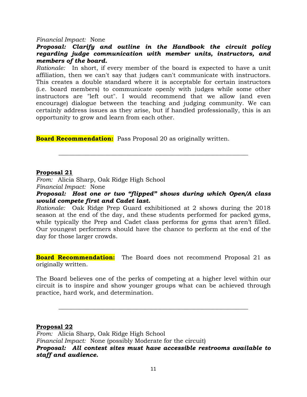#### *Financial Impact:* None

#### *Proposal: Clarify and outline in the Handbook the circuit policy regarding judge communication with member units, instructors, and members of the board.*

*Rationale:* In short, if every member of the board is expected to have a unit affiliation, then we can't say that judges can't communicate with instructors. This creates a double standard where it is acceptable for certain instructors (i.e. board members) to communicate openly with judges while some other instructors are "left out". I would recommend that we allow (and even encourage) dialogue between the teaching and judging community. We can certainly address issues as they arise, but if handled professionally, this is an opportunity to grow and learn from each other.

**Board Recommendation:** Pass Proposal 20 as originally written.

#### **Proposal 21**

*From:* Alicia Sharp, Oak Ridge High School *Financial Impact:* None

*Proposal: Host one or two "flipped" shows during which Open/A class would compete first and Cadet last.*

**\_\_\_\_\_\_\_\_\_\_\_\_\_\_\_\_\_\_\_\_\_\_\_\_\_\_\_\_\_\_\_\_\_\_\_\_\_\_\_\_\_\_\_\_\_\_\_\_\_\_\_\_\_\_\_\_\_\_\_\_\_\_\_**

*Rationale:* Oak Ridge Prep Guard exhibitioned at 2 shows during the 2018 season at the end of the day, and these students performed for packed gyms, while typically the Prep and Cadet class performs for gyms that aren't filled. Our youngest performers should have the chance to perform at the end of the day for those larger crowds.

**Board Recommendation:** The Board does not recommend Proposal 21 as originally written.

The Board believes one of the perks of competing at a higher level within our circuit is to inspire and show younger groups what can be achieved through practice, hard work, and determination.

**\_\_\_\_\_\_\_\_\_\_\_\_\_\_\_\_\_\_\_\_\_\_\_\_\_\_\_\_\_\_\_\_\_\_\_\_\_\_\_\_\_\_\_\_\_\_\_\_\_\_\_\_\_\_\_\_\_\_\_\_\_\_\_**

#### **Proposal 22**

*From:* Alicia Sharp, Oak Ridge High School *Financial Impact:* None (possibly Moderate for the circuit) *Proposal: All contest sites must have accessible restrooms available to staff and audience.*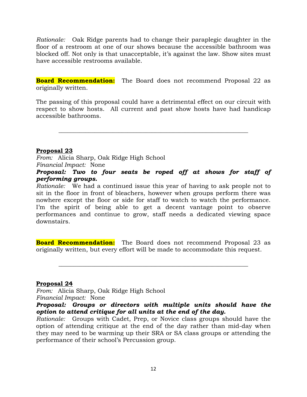*Rationale:* Oak Ridge parents had to change their paraplegic daughter in the floor of a restroom at one of our shows because the accessible bathroom was blocked off. Not only is that unacceptable, it's against the law. Show sites must have accessible restrooms available.

**Board Recommendation:** The Board does not recommend Proposal 22 as originally written.

The passing of this proposal could have a detrimental effect on our circuit with respect to show hosts. All current and past show hosts have had handicap accessible bathrooms.

**\_\_\_\_\_\_\_\_\_\_\_\_\_\_\_\_\_\_\_\_\_\_\_\_\_\_\_\_\_\_\_\_\_\_\_\_\_\_\_\_\_\_\_\_\_\_\_\_\_\_\_\_\_\_\_\_\_\_\_\_\_\_\_**

#### **Proposal 23**

*From:* Alicia Sharp, Oak Ridge High School *Financial Impact:* None

*Proposal: Two to four seats be roped off at shows for staff of performing groups.*

*Rationale:* We had a continued issue this year of having to ask people not to sit in the floor in front of bleachers, however when groups perform there was nowhere except the floor or side for staff to watch to watch the performance. I'm the spirit of being able to get a decent vantage point to observe performances and continue to grow, staff needs a dedicated viewing space downstairs.

**Board Recommendation:** The Board does not recommend Proposal 23 as originally written, but every effort will be made to accommodate this request.

**\_\_\_\_\_\_\_\_\_\_\_\_\_\_\_\_\_\_\_\_\_\_\_\_\_\_\_\_\_\_\_\_\_\_\_\_\_\_\_\_\_\_\_\_\_\_\_\_\_\_\_\_\_\_\_\_\_\_\_\_\_\_\_**

#### **Proposal 24**

*From:* Alicia Sharp, Oak Ridge High School *Financial Impact:* None

*Proposal: Groups or directors with multiple units should have the option to attend critique for all units at the end of the day.*

*Rationale:* Groups with Cadet, Prep, or Novice class groups should have the option of attending critique at the end of the day rather than mid-day when they may need to be warming up their SRA or SA class groups or attending the performance of their school's Percussion group.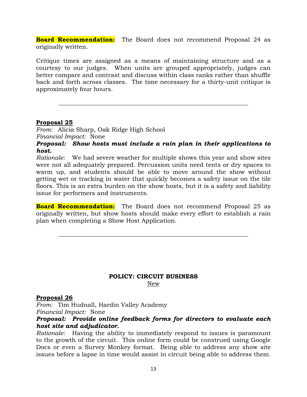**Board Recommendation:** The Board does not recommend Proposal 24 as originally written.

Critique times are assigned as a means of maintaining structure and as a courtesy to our judges. When units are grouped appropriately, judges can better compare and contrast and discuss within class ranks rather than shuffle back and forth across classes. The time necessary for a thirty-unit critique is approximately four hours.

**\_\_\_\_\_\_\_\_\_\_\_\_\_\_\_\_\_\_\_\_\_\_\_\_\_\_\_\_\_\_\_\_\_\_\_\_\_\_\_\_\_\_\_\_\_\_\_\_\_\_\_\_\_\_\_\_\_\_\_\_\_\_\_**

#### **Proposal 25**

*From:* Alicia Sharp, Oak Ridge High School *Financial Impact:* None

*Proposal: Show hosts must include a rain plan in their applications to host.*

*Rationale:* We had severe weather for multiple shows this year and show sites were not all adequately prepared. Percussion units need tents or dry spaces to warm up, and students should be able to move around the show without getting wet or tracking in water that quickly becomes a safety issue on the tile floors. This is an extra burden on the show hosts, but it is a safety and liability issue for performers and instruments.

**Board Recommendation:** The Board does not recommend Proposal 25 as originally written, but show hosts should make every effort to establish a rain plan when completing a Show Host Application.

**\_\_\_\_\_\_\_\_\_\_\_\_\_\_\_\_\_\_\_\_\_\_\_\_\_\_\_\_\_\_\_\_\_\_\_\_\_\_\_\_\_\_\_\_\_\_\_\_\_\_\_\_\_\_\_\_\_\_\_\_\_\_\_**

#### **POLICY: CIRCUIT BUSINESS** New

#### **Proposal 26**

*From:* Tim Hudnall, Hardin Valley Academy *Financial Impact:* None

#### *Proposal: Provide online feedback forms for directors to evaluate each host site and adjudicator.*

*Rationale:* Having the ability to immediately respond to issues is paramount to the growth of the circuit. This online form could be construed using Google Docs or even a Survey Monkey format. Being able to address any show site issues before a lapse in time would assist in circuit being able to address them.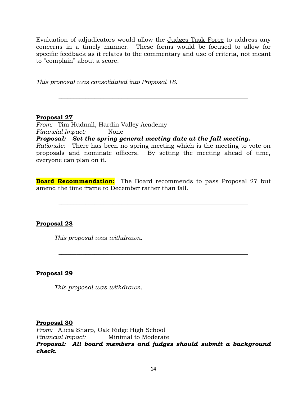Evaluation of adjudicators would allow the Judges Task Force to address any concerns in a timely manner. These forms would be focused to allow for specific feedback as it relates to the commentary and use of criteria, not meant to "complain" about a score.

**\_\_\_\_\_\_\_\_\_\_\_\_\_\_\_\_\_\_\_\_\_\_\_\_\_\_\_\_\_\_\_\_\_\_\_\_\_\_\_\_\_\_\_\_\_\_\_\_\_\_\_\_\_\_\_\_\_\_\_\_\_\_\_**

*This proposal was consolidated into Proposal 18.* 

#### **Proposal 27**

*From:* Tim Hudnall, Hardin Valley Academy *Financial Impact:* None

*Proposal: Set the spring general meeting date at the fall meeting.*

*Rationale:* There has been no spring meeting which is the meeting to vote on proposals and nominate officers. By setting the meeting ahead of time, everyone can plan on it.

**Board Recommendation:** The Board recommends to pass Proposal 27 but amend the time frame to December rather than fall.

**\_\_\_\_\_\_\_\_\_\_\_\_\_\_\_\_\_\_\_\_\_\_\_\_\_\_\_\_\_\_\_\_\_\_\_\_\_\_\_\_\_\_\_\_\_\_\_\_\_\_\_\_\_\_\_\_\_\_\_\_\_\_\_**

**\_\_\_\_\_\_\_\_\_\_\_\_\_\_\_\_\_\_\_\_\_\_\_\_\_\_\_\_\_\_\_\_\_\_\_\_\_\_\_\_\_\_\_\_\_\_\_\_\_\_\_\_\_\_\_\_\_\_\_\_\_\_\_**

#### **Proposal 28**

*This proposal was withdrawn.*

#### **Proposal 29**

*This proposal was withdrawn.*

#### **Proposal 30**

*From:* Alicia Sharp, Oak Ridge High School *Financial Impact:* Minimal to Moderate *Proposal: All board members and judges should submit a background check.*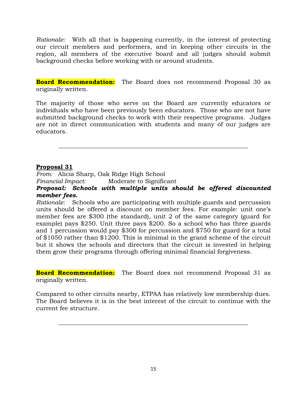*Rationale:* With all that is happening currently, in the interest of protecting our circuit members and performers, and in keeping other circuits in the region, all members of the executive board and all judges should submit background checks before working with or around students.

**Board Recommendation:** The Board does not recommend Proposal 30 as originally written.

The majority of those who serve on the Board are currently educators or individuals who have been previously been educators. Those who are not have submitted background checks to work with their respective programs. Judges are not in direct communication with students and many of our judges are educators.

**\_\_\_\_\_\_\_\_\_\_\_\_\_\_\_\_\_\_\_\_\_\_\_\_\_\_\_\_\_\_\_\_\_\_\_\_\_\_\_\_\_\_\_\_\_\_\_\_\_\_\_\_\_\_\_\_\_\_\_\_\_\_\_**

#### **Proposal 31**

*From:* Alicia Sharp, Oak Ridge High School *Financial Impact:* Moderate to Significant

*Proposal: Schools with multiple units should be offered discounted member fees.*

*Rationale:* Schools who are participating with multiple guards and percussion units should be offered a discount on member fees. For example: unit one's member fees are \$300 (the standard), unit 2 of the same category (guard for example) pays \$250. Unit three pays \$200. So a school who has three guards and 1 percussion would pay \$300 for percussion and \$750 for guard for a total of \$1050 rather than \$1200. This is minimal in the grand scheme of the circuit but it shows the schools and directors that the circuit is invested in helping them grow their programs through offering minimal financial forgiveness.

**Board Recommendation:** The Board does not recommend Proposal 31 as originally written.

Compared to other circuits nearby, ETPAA has relatively low membership dues. The Board believes it is in the best interest of the circuit to continue with the current fee structure.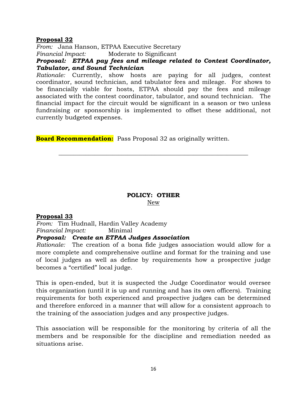*From:* Jana Hanson, ETPAA Executive Secretary

*Financial Impact:* Moderate to Significant

*Proposal: ETPAA pay fees and mileage related to Contest Coordinator, Tabulator, and Sound Technician*

*Rationale:* Currently, show hosts are paying for all judges, contest coordinator, sound technician, and tabulator fees and mileage. For shows to be financially viable for hosts, ETPAA should pay the fees and mileage associated with the contest coordinator, tabulator, and sound technician. The financial impact for the circuit would be significant in a season or two unless fundraising or sponsorship is implemented to offset these additional, not currently budgeted expenses.

**Board Recommendation:** Pass Proposal 32 as originally written.

### **POLICY: OTHER**

**\_\_\_\_\_\_\_\_\_\_\_\_\_\_\_\_\_\_\_\_\_\_\_\_\_\_\_\_\_\_\_\_\_\_\_\_\_\_\_\_\_\_\_\_\_\_\_\_\_\_\_\_\_\_\_\_\_\_\_\_\_\_\_**

New

#### **Proposal 33**

*From:* Tim Hudnall, Hardin Valley Academy *Financial Impact:* Minimal *Proposal: Create an ETPAA Judges Association*

*Rationale:* The creation of a bona fide judges association would allow for a more complete and comprehensive outline and format for the training and use of local judges as well as define by requirements how a prospective judge becomes a "certified" local judge.

This is open-ended, but it is suspected the Judge Coordinator would oversee this organization (until it is up and running and has its own officers). Training requirements for both experienced and prospective judges can be determined and therefore enforced in a manner that will allow for a consistent approach to the training of the association judges and any prospective judges.

This association will be responsible for the monitoring by criteria of all the members and be responsible for the discipline and remediation needed as situations arise.